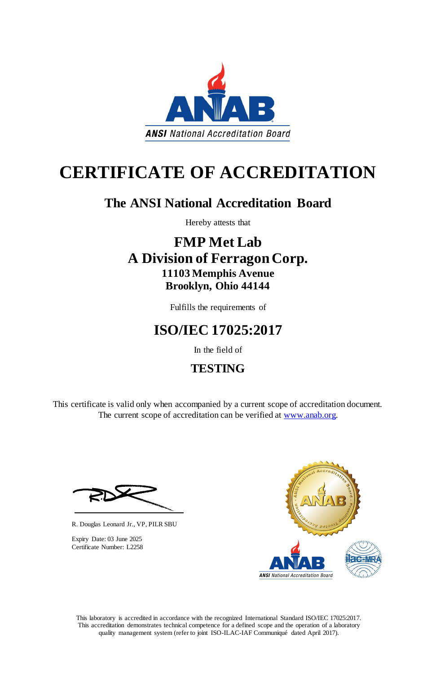This laboratory is accredited in accordance with the recognized International Standard ISO/IEC 17025:2017. This accreditation demonstrates technical competence for a defined scope and the operation of a laboratory quality management system (refer to joint ISO-ILAC-IAF Communiqué dated April 2017).

This certificate is valid only when accompanied by a current scope of accreditation document. The current scope of accreditation can be verified at [www.anab.org.](http://www.anab.org/)







# **CERTIFICATE OF ACCREDITATION**

# **The ANSI National Accreditation Board**

Hereby attests that

### **FMP Met Lab A Division of Ferragon Corp. 11103 Memphis Avenue Brooklyn, Ohio 44144**

Fulfills the requirements of

# **ISO/IEC 17025:2017**

In the field of

### **TESTING**

R. Douglas Leonard Jr., VP, PILR SBU

Expiry Date: 03 June 2025 Certificate Number: L2258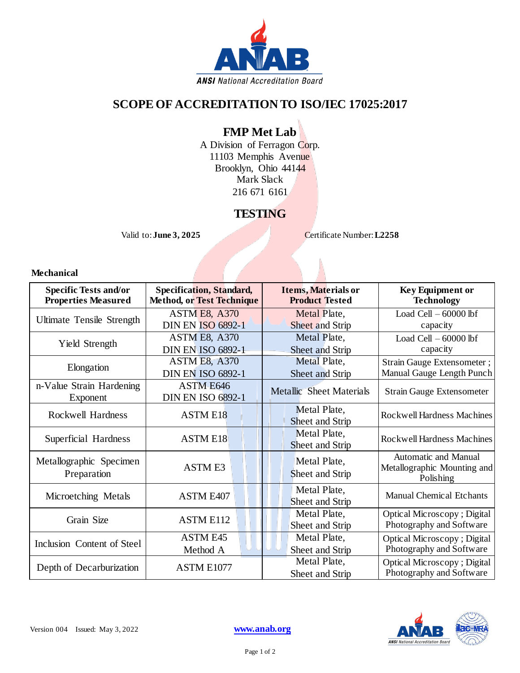

### **SCOPE OF ACCREDITATION TO ISO/IEC 17025:2017**

#### **FMP Met Lab**

A Division of Ferragon Corp. 11103 Memphis Avenue Brooklyn, Ohio 44144 Mark Slack 216 671 6161

### **TESTING**

Valid to: **June 3, 2025** Certificate Number: **L2258** 

#### **Mechanical**

| <b>Specific Tests and/or</b><br><b>Properties Measured</b> | <b>Specification, Standard,</b><br><b>Method, or Test Technique</b> | <b>Items, Materials or</b><br><b>Product Tested</b> | <b>Key Equipment or</b><br><b>Technology</b>                     |
|------------------------------------------------------------|---------------------------------------------------------------------|-----------------------------------------------------|------------------------------------------------------------------|
| Ultimate Tensile Strength                                  | <b>ASTM E8, A370</b><br><b>DIN EN ISO 6892-1</b>                    | Metal Plate,<br>Sheet and Strip                     | Load Cell $-60000$ lbf<br>capacity                               |
| Yield Strength                                             | ASTM E8, A370<br><b>DIN EN ISO 6892-1</b>                           | Metal Plate,<br>Sheet and Strip                     | Load Cell $-60000$ lbf<br>capacity                               |
| Elongation                                                 | <b>ASTM E8, A370</b><br><b>DIN EN ISO 6892-1</b>                    | Metal Plate,<br>Sheet and Strip                     | Strain Gauge Extensometer;<br>Manual Gauge Length Punch          |
| n-Value Strain Hardening<br>Exponent                       | ASTM E646<br><b>DIN EN ISO 6892-1</b>                               | <b>Metallic Sheet Materials</b>                     | <b>Strain Gauge Extensometer</b>                                 |
| Rockwell Hardness                                          | <b>ASTM E18</b>                                                     | Metal Plate,<br>Sheet and Strip                     | Rockwell Hardness Machines                                       |
| Superficial Hardness                                       | <b>ASTM E18</b>                                                     | Metal Plate,<br>Sheet and Strip                     | Rockwell Hardness Machines                                       |
| Metallographic Specimen<br>Preparation                     | <b>ASTM E3</b>                                                      | Metal Plate,<br>Sheet and Strip                     | Automatic and Manual<br>Metallographic Mounting and<br>Polishing |
| Microetching Metals                                        | ASTM E407                                                           | Metal Plate,<br>Sheet and Strip                     | <b>Manual Chemical Etchants</b>                                  |
| Grain Size                                                 | <b>ASTM E112</b>                                                    | Metal Plate,<br>Sheet and Strip                     | <b>Optical Microscopy</b> ; Digital<br>Photography and Software  |
| Inclusion Content of Steel                                 | <b>ASTM E45</b><br>Method A                                         | Metal Plate,<br>Sheet and Strip                     | <b>Optical Microscopy</b> ; Digital<br>Photography and Software  |
| Depth of Decarburization                                   | ASTM E1077                                                          | Metal Plate,<br>Sheet and Strip                     | <b>Optical Microscopy</b> ; Digital<br>Photography and Software  |